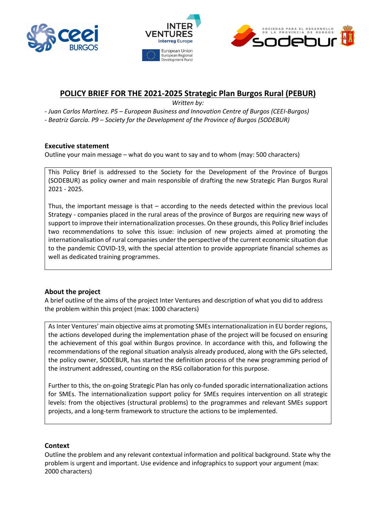





# **POLICY BRIEF FOR THE 2021-2025 Strategic Plan Burgos Rural (PEBUR)**

*Written by:*

*- Juan Carlos Martínez. P5 – European Business and Innovation Centre of Burgos (CEEI-Burgos)*

*- Beatriz García. P9 – Society for the Development of the Province of Burgos (SODEBUR)*

# **Executive statement**

Outline your main message – what do you want to say and to whom (may: 500 characters)

This Policy Brief is addressed to the Society for the Development of the Province of Burgos (SODEBUR) as policy owner and main responsible of drafting the new Strategic Plan Burgos Rural 2021 - 2025.

Thus, the important message is that – according to the needs detected within the previous local Strategy - companies placed in the rural areas of the province of Burgos are requiring new ways of support to improve their internationalization processes. On these grounds, this Policy Brief includes two recommendations to solve this issue: inclusion of new projects aimed at promoting the internationalisation of rural companies under the perspective of the current economic situation due to the pandemic COVID-19, with the special attention to provide appropriate financial schemes as well as dedicated training programmes.

# **About the project**

A brief outline of the aims of the project Inter Ventures and description of what you did to address the problem within this project (max: 1000 characters)

As Inter Ventures' main objective aims at promoting SMEs internationalization in EU border regions, the actions developed during the implementation phase of the project will be focused on ensuring the achievement of this goal within Burgos province. In accordance with this, and following the recommendations of the regional situation analysis already produced, along with the GPs selected, the policy owner, SODEBUR, has started the definition process of the new programming period of the instrument addressed, counting on the RSG collaboration for this purpose.

Further to this, the on-going Strategic Plan has only co-funded sporadic internationalization actions for SMEs. The internationalization support policy for SMEs requires intervention on all strategic levels: from the objectives (structural problems) to the programmes and relevant SMEs support projects, and a long-term framework to structure the actions to be implemented.

## **Context**

Outline the problem and any relevant contextual information and political background. State why the problem is urgent and important. Use evidence and infographics to support your argument (max: 2000 characters)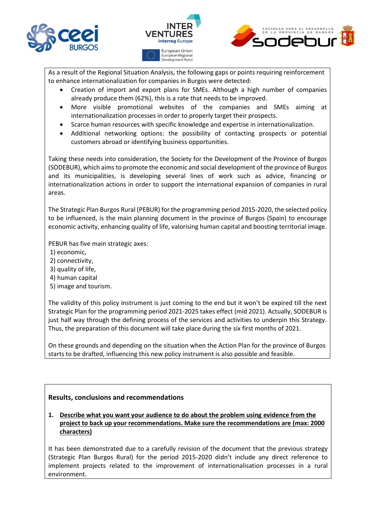



As a result of the Regional Situation Analysis, the following gaps or points requiring reinforcement to enhance internationalization for companies in Burgos were detected:

- Creation of import and export plans for SMEs. Although a high number of companies already produce them (62%), this is a rate that needs to be improved.
- More visible promotional websites of the companies and SMEs aiming at internationalization processes in order to properly target their prospects.
- Scarce human resources with specific knowledge and expertise in internationalization.
- Additional networking options: the possibility of contacting prospects or potential customers abroad or identifying business opportunities.

Taking these needs into consideration, the Society for the Development of the Province of Burgos (SODEBUR), which aims to promote the economic and social development of the province of Burgos and its municipalities, is developing several lines of work such as advice, financing or internationalization actions in order to support the international expansion of companies in rural areas.

The Strategic Plan Burgos Rural (PEBUR) for the programming period 2015-2020, the selected policy to be influenced, is the main planning document in the province of Burgos (Spain) to encourage economic activity, enhancing quality of life, valorising human capital and boosting territorial image.

PEBUR has five main strategic axes:

- 1) economic,
- 2) connectivity,
- 3) quality of life,
- 4) human capital
- 5) image and tourism.

The validity of this policy instrument is just coming to the end but it won't be expired till the next Strategic Plan for the programming period 2021-2025 takes effect (mid 2021). Actually, SODEBUR is just half way through the defining process of the services and activities to underpin this Strategy. Thus, the preparation of this document will take place during the six first months of 2021.

On these grounds and depending on the situation when the Action Plan for the province of Burgos starts to be drafted, influencing this new policy instrument is also possible and feasible.

## **Results, conclusions and recommendations**

**1. Describe what you want your audience to do about the problem using evidence from the project to back up your recommendations. Make sure the recommendations are (max: 2000 characters)**

It has been demonstrated due to a carefully revision of the document that the previous strategy (Strategic Plan Burgos Rural) for the period 2015-2020 didn't include any direct reference to implement projects related to the improvement of internationalisation processes in a rural environment.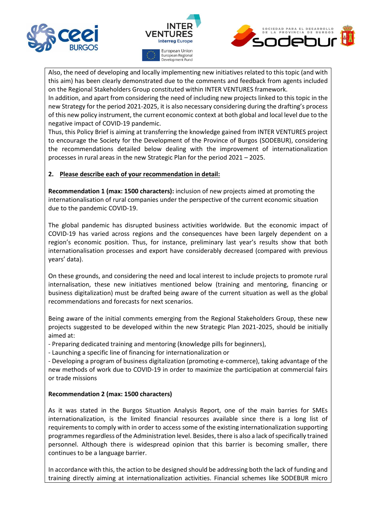



Also, the need of developing and locally implementing new initiatives related to this topic (and with this aim) has been clearly demonstrated due to the comments and feedback from agents included on the Regional Stakeholders Group constituted within INTER VENTURES framework.

In addition, and apart from considering the need of including new projects linked to this topic in the new Strategy for the period 2021-2025, it is also necessary considering during the drafting's process of this new policy instrument, the current economic context at both global and local level due to the negative impact of COVID-19 pandemic.

Thus, this Policy Brief is aiming at transferring the knowledge gained from INTER VENTURES project to encourage the Society for the Development of the Province of Burgos (SODEBUR), considering the recommendations detailed below dealing with the improvement of internationalization processes in rural areas in the new Strategic Plan for the period 2021 – 2025.

#### **2. Please describe each of your recommendation in detail:**

**Recommendation 1 (max: 1500 characters):** inclusion of new projects aimed at promoting the internationalisation of rural companies under the perspective of the current economic situation due to the pandemic COVID-19.

The global pandemic has disrupted business activities worldwide. But the economic impact of COVID-19 has varied across regions and the consequences have been largely dependent on a region's economic position. Thus, for instance, preliminary last year's results show that both internationalisation processes and export have considerably decreased (compared with previous years' data).

On these grounds, and considering the need and local interest to include projects to promote rural internalisation, these new initiatives mentioned below (training and mentoring, financing or business digitalization) must be drafted being aware of the current situation as well as the global recommendations and forecasts for next scenarios.

Being aware of the initial comments emerging from the Regional Stakeholders Group, these new projects suggested to be developed within the new Strategic Plan 2021-2025, should be initially aimed at:

- Preparing dedicated training and mentoring (knowledge pills for beginners),

- Launching a specific line of financing for internationalization or

- Developing a program of business digitalization (promoting e-commerce), taking advantage of the new methods of work due to COVID-19 in order to maximize the participation at commercial fairs or trade missions

#### **Recommendation 2 (max: 1500 characters)**

As it was stated in the Burgos Situation Analysis Report, one of the main barries for SMEs internationalization, is the limited financial resources available since there is a long list of requirements to comply with in order to access some of the existing internationalization supporting programmes regardless of the Administration level. Besides, there is also a lack of specifically trained personnel. Although there is widespread opinion that this barrier is becoming smaller, there continues to be a language barrier.

In accordance with this, the action to be designed should be addressing both the lack of funding and training directly aiming at internationalization activities. Financial schemes like SODEBUR micro